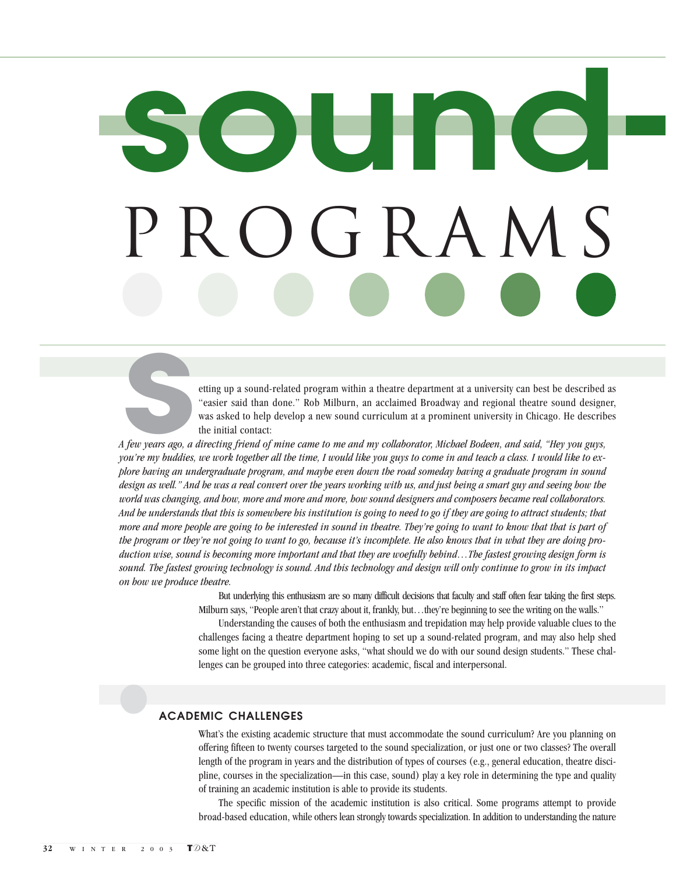## **sound**  $p \in F R A N$

etting up a sound-related program within a theatre department at a university can best be described as "easier said than done." Rob Milburn, an acclaimed Broadway and regional theatre sound designer, was asked to help develop a new sound curriculum at a prominent university in Chicago. He describes the initial contact:

*A few years ago, a directing friend of mine came to me and my collaborator, Michael Bodeen, and said, "Hey you guys, you're my buddies, we work together all the time, I would like you guys to come in and teach a class. I would like to explore having an undergraduate program, and maybe even down the road someday having a graduate program in sound design as well." And he was a real convert over the years working with us, and just being a smart guy and seeing how the world was changing, and how, more and more and more, how sound designers and composers became real collaborators. And he understands that this is somewhere his institution is going to need to go if they are going to attract students; that more and more people are going to be interested in sound in theatre. They're going to want to know that that is part of the program or they're not going to want to go, because it's incomplete. He also knows that in what they are doing production wise, sound is becoming more important and that they are woefully behind…The fastest growing design form is sound. The fastest growing technology is sound. And this technology and design will only continue to grow in its impact on how we produce theatre.* **s**

> But underlying this enthusiasm are so many difficult decisions that faculty and staff often fear taking the first steps. Milburn says, "People aren't that crazy about it, frankly, but…they're beginning to see the writing on the walls."

> Understanding the causes of both the enthusiasm and trepidation may help provide valuable clues to the challenges facing a theatre department hoping to set up a sound-related program, and may also help shed some light on the question everyone asks, "what should we do with our sound design students." These challenges can be grouped into three categories: academic, fiscal and interpersonal.

#### **ACADEMIC CHALLENGES**

What's the existing academic structure that must accommodate the sound curriculum? Are you planning on offering fifteen to twenty courses targeted to the sound specialization, or just one or two classes? The overall length of the program in years and the distribution of types of courses (e.g., general education, theatre discipline, courses in the specialization—in this case, sound) play a key role in determining the type and quality of training an academic institution is able to provide its students.

The specific mission of the academic institution is also critical. Some programs attempt to provide broad-based education, while others lean strongly towards specialization. In addition to understanding the nature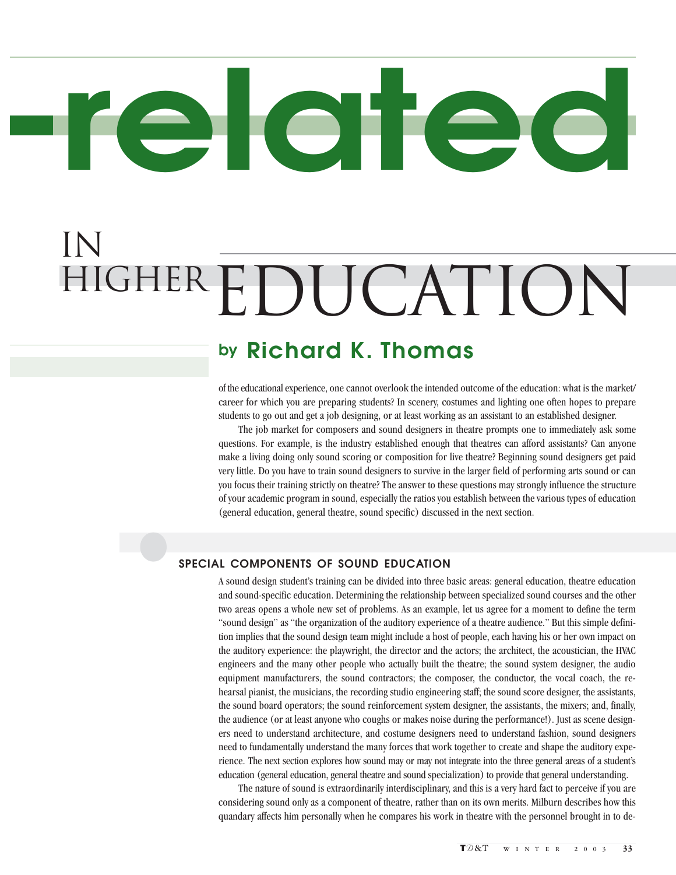# **related**

### in HIGHEREDUCATION

#### **by Richard K. Thomas**

of the educational experience, one cannot overlook the intended outcome of the education: what is the market/ career for which you are preparing students? In scenery, costumes and lighting one often hopes to prepare students to go out and get a job designing, or at least working as an assistant to an established designer.

The job market for composers and sound designers in theatre prompts one to immediately ask some questions. For example, is the industry established enough that theatres can afford assistants? Can anyone make a living doing only sound scoring or composition for live theatre? Beginning sound designers get paid very little. Do you have to train sound designers to survive in the larger field of performing arts sound or can you focus their training strictly on theatre? The answer to these questions may strongly influence the structure of your academic program in sound, especially the ratios you establish between the various types of education (general education, general theatre, sound specific) discussed in the next section.

#### **SPECIAL COMPONENTS OF SOUND EDUCATION**

A sound design student's training can be divided into three basic areas: general education, theatre education and sound-specific education. Determining the relationship between specialized sound courses and the other two areas opens a whole new set of problems. As an example, let us agree for a moment to define the term "sound design" as "the organization of the auditory experience of a theatre audience." But this simple definition implies that the sound design team might include a host of people, each having his or her own impact on the auditory experience: the playwright, the director and the actors; the architect, the acoustician, the HVAC engineers and the many other people who actually built the theatre; the sound system designer, the audio equipment manufacturers, the sound contractors; the composer, the conductor, the vocal coach, the rehearsal pianist, the musicians, the recording studio engineering staff; the sound score designer, the assistants, the sound board operators; the sound reinforcement system designer, the assistants, the mixers; and, finally, the audience (or at least anyone who coughs or makes noise during the performance!). Just as scene designers need to understand architecture, and costume designers need to understand fashion, sound designers need to fundamentally understand the many forces that work together to create and shape the auditory experience. The next section explores how sound may or may not integrate into the three general areas of a student's education (general education, general theatre and sound specialization) to provide that general understanding.

The nature of sound is extraordinarily interdisciplinary, and this is a very hard fact to perceive if you are considering sound only as a component of theatre, rather than on its own merits. Milburn describes how this quandary affects him personally when he compares his work in theatre with the personnel brought in to de-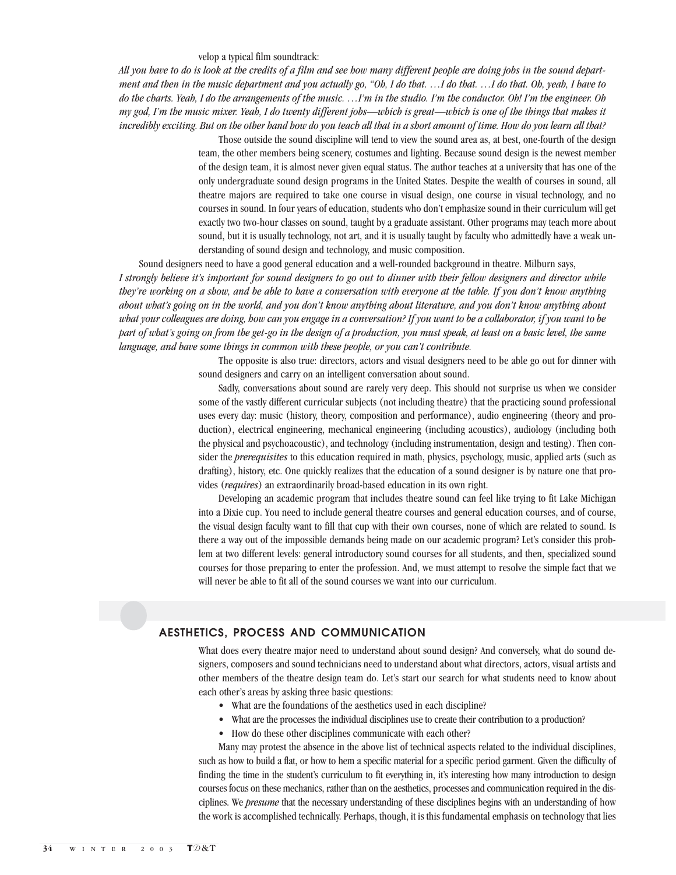#### velop a typical film soundtrack:

*All you have to do is look at the credits of a film and see how many different people are doing jobs in the sound department and then in the music department and you actually go, "Oh, I do that. …I do that. …I do that. Oh, yeah, I have to do the charts. Yeah, I do the arrangements of the music. …I'm in the studio. I'm the conductor. Oh! I'm the engineer. Oh my god, I'm the music mixer. Yeah, I do twenty different jobs—which is great—which is one of the things that makes it incredibly exciting. But on the other hand how do you teach all that in a short amount of time. How do you learn all that?*

> Those outside the sound discipline will tend to view the sound area as, at best, one-fourth of the design team, the other members being scenery, costumes and lighting. Because sound design is the newest member of the design team, it is almost never given equal status. The author teaches at a university that has one of the only undergraduate sound design programs in the United States. Despite the wealth of courses in sound, all theatre majors are required to take one course in visual design, one course in visual technology, and no courses in sound. In four years of education, students who don't emphasize sound in their curriculum will get exactly two two-hour classes on sound, taught by a graduate assistant. Other programs may teach more about sound, but it is usually technology, not art, and it is usually taught by faculty who admittedly have a weak understanding of sound design and technology, and music composition.

Sound designers need to have a good general education and a well-rounded background in theatre. Milburn says, *I strongly believe it's important for sound designers to go out to dinner with their fellow designers and director while they're working on a show, and be able to have a conversation with everyone at the table. If you don't know anything about what's going on in the world, and you don't know anything about literature, and you don't know anything about what your colleagues are doing, how can you engage in a conversation? If you want to be a collaborator, if you want to be part of what's going on from the get-go in the design of a production, you must speak, at least on a basic level, the same language, and have some things in common with these people, or you can't contribute.*

> The opposite is also true: directors, actors and visual designers need to be able go out for dinner with sound designers and carry on an intelligent conversation about sound.

> Sadly, conversations about sound are rarely very deep. This should not surprise us when we consider some of the vastly different curricular subjects (not including theatre) that the practicing sound professional uses every day: music (history, theory, composition and performance), audio engineering (theory and production), electrical engineering, mechanical engineering (including acoustics), audiology (including both the physical and psychoacoustic), and technology (including instrumentation, design and testing). Then consider the *prerequisites* to this education required in math, physics, psychology, music, applied arts (such as drafting), history, etc. One quickly realizes that the education of a sound designer is by nature one that provides (*requires*) an extraordinarily broad-based education in its own right.

> Developing an academic program that includes theatre sound can feel like trying to fit Lake Michigan into a Dixie cup. You need to include general theatre courses and general education courses, and of course, the visual design faculty want to fill that cup with their own courses, none of which are related to sound. Is there a way out of the impossible demands being made on our academic program? Let's consider this problem at two different levels: general introductory sound courses for all students, and then, specialized sound courses for those preparing to enter the profession. And, we must attempt to resolve the simple fact that we will never be able to fit all of the sound courses we want into our curriculum.

#### **AESTHETICS, PROCESS AND COMMUNICATION**

What does every theatre major need to understand about sound design? And conversely, what do sound designers, composers and sound technicians need to understand about what directors, actors, visual artists and other members of the theatre design team do. Let's start our search for what students need to know about each other's areas by asking three basic questions:

- What are the foundations of the aesthetics used in each discipline?
- What are the processes the individual disciplines use to create their contribution to a production?
- How do these other disciplines communicate with each other?

Many may protest the absence in the above list of technical aspects related to the individual disciplines, such as how to build a flat, or how to hem a specific material for a specific period garment. Given the difficulty of finding the time in the student's curriculum to fit everything in, it's interesting how many introduction to design courses focus on these mechanics, rather than on the aesthetics, processes and communication required in the disciplines. We *presume* that the necessary understanding of these disciplines begins with an understanding of how the work is accomplished technically. Perhaps, though, it is this fundamental emphasis on technology that lies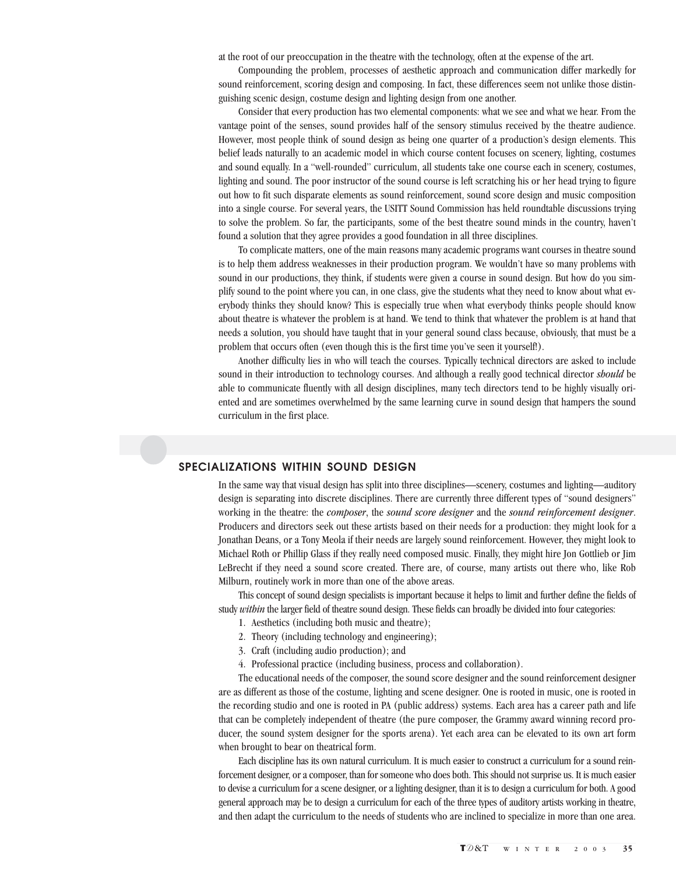at the root of our preoccupation in the theatre with the technology, often at the expense of the art.

Compounding the problem, processes of aesthetic approach and communication differ markedly for sound reinforcement, scoring design and composing. In fact, these differences seem not unlike those distinguishing scenic design, costume design and lighting design from one another.

Consider that every production has two elemental components: what we see and what we hear. From the vantage point of the senses, sound provides half of the sensory stimulus received by the theatre audience. However, most people think of sound design as being one quarter of a production's design elements. This belief leads naturally to an academic model in which course content focuses on scenery, lighting, costumes and sound equally. In a "well-rounded" curriculum, all students take one course each in scenery, costumes, lighting and sound. The poor instructor of the sound course is left scratching his or her head trying to figure out how to fit such disparate elements as sound reinforcement, sound score design and music composition into a single course. For several years, the USITT Sound Commission has held roundtable discussions trying to solve the problem. So far, the participants, some of the best theatre sound minds in the country, haven't found a solution that they agree provides a good foundation in all three disciplines.

To complicate matters, one of the main reasons many academic programs want courses in theatre sound is to help them address weaknesses in their production program. We wouldn't have so many problems with sound in our productions, they think, if students were given a course in sound design. But how do you simplify sound to the point where you can, in one class, give the students what they need to know about what everybody thinks they should know? This is especially true when what everybody thinks people should know about theatre is whatever the problem is at hand. We tend to think that whatever the problem is at hand that needs a solution, you should have taught that in your general sound class because, obviously, that must be a problem that occurs often (even though this is the first time you've seen it yourself!).

Another difficulty lies in who will teach the courses. Typically technical directors are asked to include sound in their introduction to technology courses. And although a really good technical director *should* be able to communicate fluently with all design disciplines, many tech directors tend to be highly visually oriented and are sometimes overwhelmed by the same learning curve in sound design that hampers the sound curriculum in the first place.

#### **SPECIALIZATIONS WITHIN SOUND DESIGN**

In the same way that visual design has split into three disciplines—scenery, costumes and lighting—auditory design is separating into discrete disciplines. There are currently three different types of "sound designers" working in the theatre: the *composer*, the *sound score designer* and the *sound reinforcement designer*. Producers and directors seek out these artists based on their needs for a production: they might look for a Jonathan Deans, or a Tony Meola if their needs are largely sound reinforcement. However, they might look to Michael Roth or Phillip Glass if they really need composed music. Finally, they might hire Jon Gottlieb or Jim LeBrecht if they need a sound score created. There are, of course, many artists out there who, like Rob Milburn, routinely work in more than one of the above areas.

This concept of sound design specialists is important because it helps to limit and further define the fields of study *within* the larger field of theatre sound design. These fields can broadly be divided into four categories:

- 1. Aesthetics (including both music and theatre);
- 2. Theory (including technology and engineering);
- 3. Craft (including audio production); and
- 4. Professional practice (including business, process and collaboration).

The educational needs of the composer, the sound score designer and the sound reinforcement designer are as different as those of the costume, lighting and scene designer. One is rooted in music, one is rooted in the recording studio and one is rooted in PA (public address) systems. Each area has a career path and life that can be completely independent of theatre (the pure composer, the Grammy award winning record producer, the sound system designer for the sports arena). Yet each area can be elevated to its own art form when brought to bear on theatrical form.

Each discipline has its own natural curriculum. It is much easier to construct a curriculum for a sound reinforcement designer, or a composer, than for someone who does both. This should not surprise us. It is much easier to devise a curriculum for a scene designer, or a lighting designer, than it is to design a curriculum for both. A good general approach may be to design a curriculum for each of the three types of auditory artists working in theatre, and then adapt the curriculum to the needs of students who are inclined to specialize in more than one area.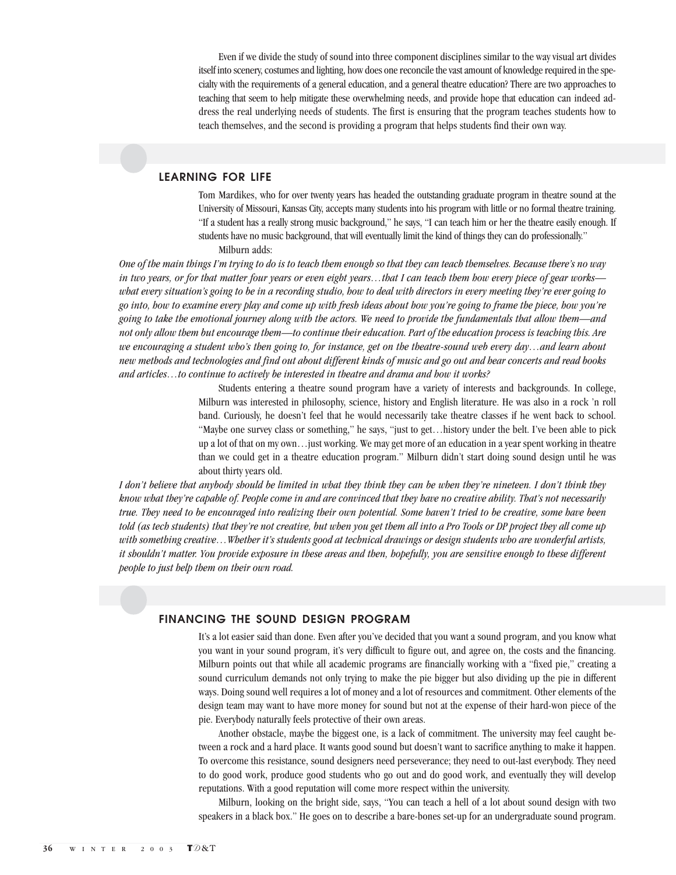Even if we divide the study of sound into three component disciplines similar to the way visual art divides itself into scenery, costumes and lighting, how does one reconcile the vast amount of knowledge required in the specialty with the requirements of a general education, and a general theatre education? There are two approaches to teaching that seem to help mitigate these overwhelming needs, and provide hope that education can indeed address the real underlying needs of students. The first is ensuring that the program teaches students how to teach themselves, and the second is providing a program that helps students find their own way.

#### **LEARNING FOR LIFE**

Tom Mardikes, who for over twenty years has headed the outstanding graduate program in theatre sound at the University of Missouri, Kansas City, accepts many students into his program with little or no formal theatre training. "If a student has a really strong music background," he says, "I can teach him or her the theatre easily enough. If students have no music background, that will eventually limit the kind of things they can do professionally."

Milburn adds:

*One of the main things I'm trying to do is to teach them enough so that they can teach themselves. Because there's no way in two years, or for that matter four years or even eight years…that I can teach them how every piece of gear works what every situation's going to be in a recording studio, how to deal with directors in every meeting they're ever going to go into, how to examine every play and come up with fresh ideas about how you're going to frame the piece, how you're going to take the emotional journey along with the actors. We need to provide the fundamentals that allow them—and not only allow them but encourage them—to continue their education. Part of the education process is teaching this. Are we encouraging a student who's then going to, for instance, get on the theatre-sound web every day…and learn about new methods and technologies and find out about different kinds of music and go out and hear concerts and read books and articles…to continue to actively be interested in theatre and drama and how it works?*

> Students entering a theatre sound program have a variety of interests and backgrounds. In college, Milburn was interested in philosophy, science, history and English literature. He was also in a rock 'n roll band. Curiously, he doesn't feel that he would necessarily take theatre classes if he went back to school. "Maybe one survey class or something," he says, "just to get…history under the belt. I've been able to pick up a lot of that on my own…just working. We may get more of an education in a year spent working in theatre than we could get in a theatre education program." Milburn didn't start doing sound design until he was about thirty years old.

*I don't believe that anybody should be limited in what they think they can be when they're nineteen. I don't think they know what they're capable of. People come in and are convinced that they have no creative ability. That's not necessarily true. They need to be encouraged into realizing their own potential. Some haven't tried to be creative, some have been told (as tech students) that they're not creative, but when you get them all into a Pro Tools or DP project they all come up with something creative…Whether it's students good at technical drawings or design students who are wonderful artists, it shouldn't matter. You provide exposure in these areas and then, hopefully, you are sensitive enough to these different people to just help them on their own road.*

#### **FINANCING THE SOUND DESIGN PROGRAM**

It's a lot easier said than done. Even after you've decided that you want a sound program, and you know what you want in your sound program, it's very difficult to figure out, and agree on, the costs and the financing. Milburn points out that while all academic programs are financially working with a "fixed pie," creating a sound curriculum demands not only trying to make the pie bigger but also dividing up the pie in different ways. Doing sound well requires a lot of money and a lot of resources and commitment. Other elements of the design team may want to have more money for sound but not at the expense of their hard-won piece of the pie. Everybody naturally feels protective of their own areas.

Another obstacle, maybe the biggest one, is a lack of commitment. The university may feel caught between a rock and a hard place. It wants good sound but doesn't want to sacrifice anything to make it happen. To overcome this resistance, sound designers need perseverance; they need to out-last everybody. They need to do good work, produce good students who go out and do good work, and eventually they will develop reputations. With a good reputation will come more respect within the university.

Milburn, looking on the bright side, says, "You can teach a hell of a lot about sound design with two speakers in a black box." He goes on to describe a bare-bones set-up for an undergraduate sound program.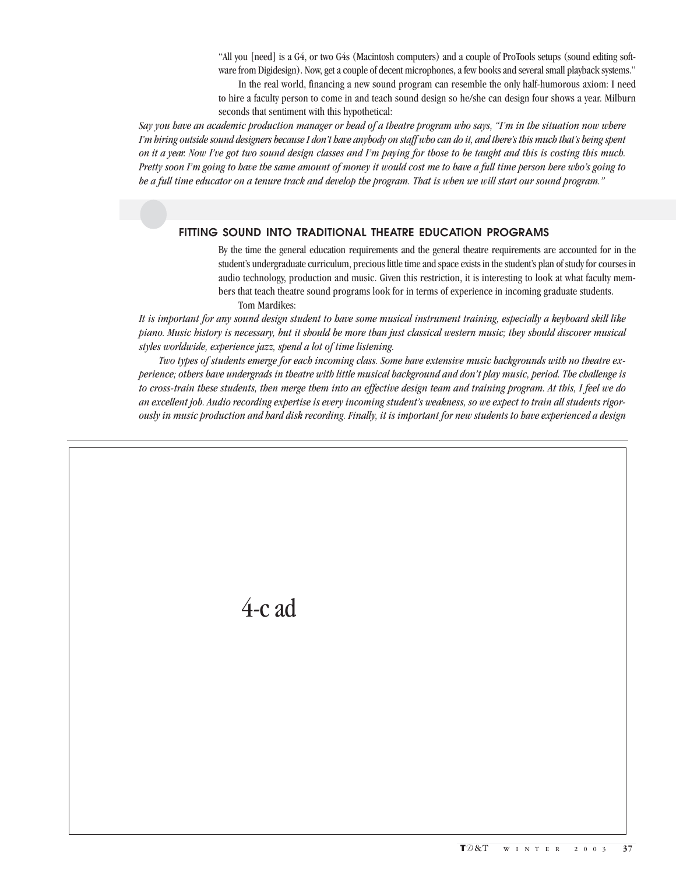"All you [need] is a G4, or two G4s (Macintosh computers) and a couple of ProTools setups (sound editing software from Digidesign). Now, get a couple of decent microphones, a few books and several small playback systems."

In the real world, financing a new sound program can resemble the only half-humorous axiom: I need to hire a faculty person to come in and teach sound design so he/she can design four shows a year. Milburn seconds that sentiment with this hypothetical:

*Say you have an academic production manager or head of a theatre program who says, "I'm in the situation now where I'm hiring outside sound designers because I don't have anybody on staff who can do it, and there's this much that's being spent on it a year. Now I've got two sound design classes and I'm paying for those to be taught and this is costing this much. Pretty soon I'm going to have the same amount of money it would cost me to have a full time person here who's going to be a full time educator on a tenure track and develop the program. That is when we will start our sound program."*

#### **FITTING SOUND INTO TRADITIONAL THEATRE EDUCATION PROGRAMS**

By the time the general education requirements and the general theatre requirements are accounted for in the student's undergraduate curriculum, precious little time and space exists in the student's plan of study for courses in audio technology, production and music. Given this restriction, it is interesting to look at what faculty members that teach theatre sound programs look for in terms of experience in incoming graduate students. Tom Mardikes:

*It is important for any sound design student to have some musical instrument training, especially a keyboard skill like piano. Music history is necessary, but it should be more than just classical western music; they should discover musical styles worldwide, experience jazz, spend a lot of time listening.*

*Two types of students emerge for each incoming class. Some have extensive music backgrounds with no theatre experience; others have undergrads in theatre with little musical background and don't play music, period. The challenge is to cross-train these students, then merge them into an effective design team and training program. At this, I feel we do an excellent job. Audio recording expertise is every incoming student's weakness, so we expect to train all students rigorously in music production and hard disk recording. Finally, it is important for new students to have experienced a design*